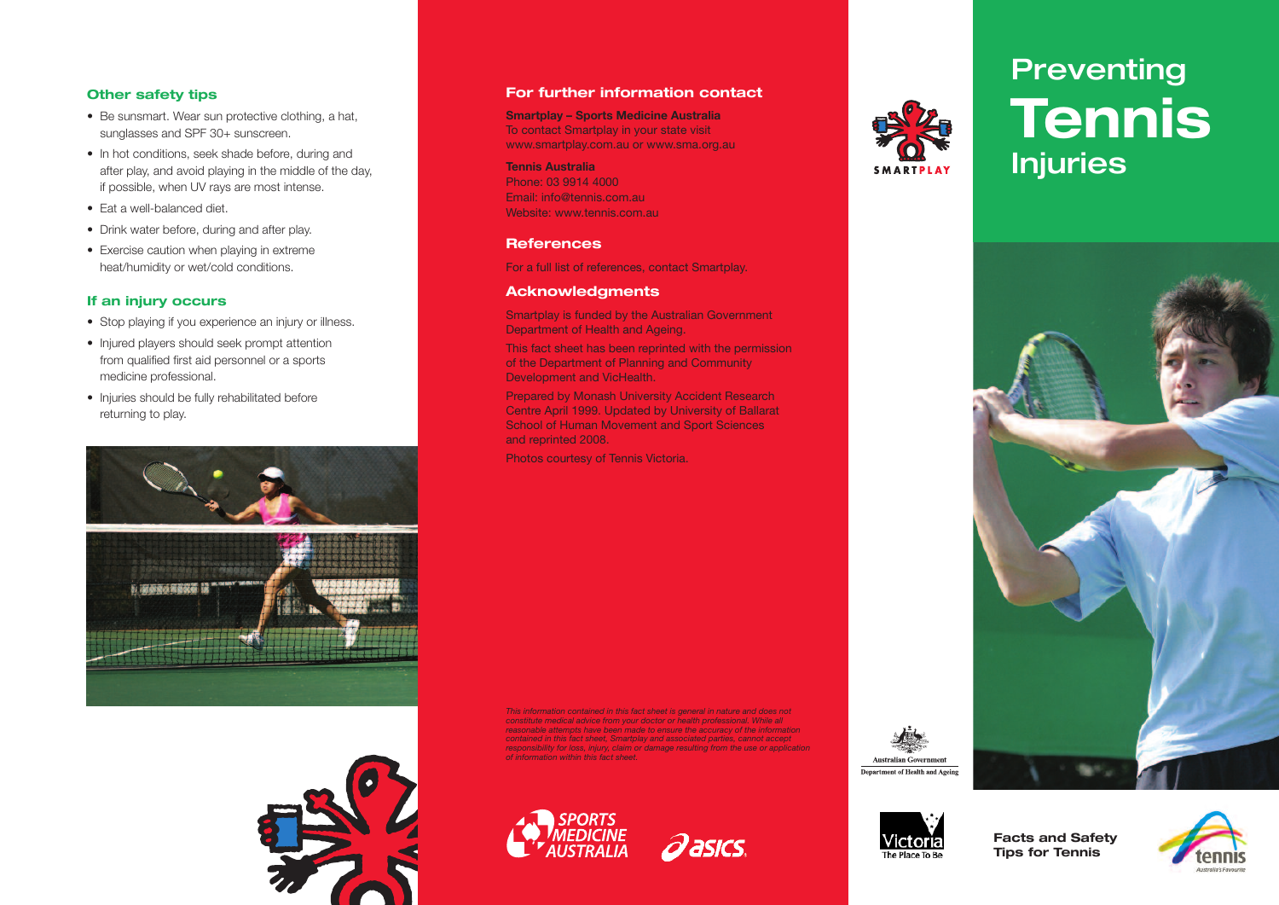#### **Other safety tips**

- Be sunsmart. Wear sun protective clothing, a hat, sunglasses and SPF 30+ sunscreen.
- In hot conditions, seek shade before, during and after play, and avoid playing in the middle of the day, if possible, when UV rays are most intense.
- Eat a well-balanced diet.
- Drink water before, during and after play.
- Exercise caution when playing in extreme heat/humidity or wet/cold conditions.

#### **If an injury occurs**

- Stop playing if you experience an injury or illness.
- Injured players should seek prompt attention from qualified first aid personnel or a sports medicine professional.
- Injuries should be fully rehabilitated before returning to play.





#### **For further information contact**

**Smartplay – Sports Medicine Australia** To contact Smartplay in your state visit www.smartplay.com.au or www.sma.org.au

#### **Tennis Australia**

Phone: 03 9914 4000 Email: info@tennis.com.au Website: www.tennis.com.au

#### **References**

For a full list of references, contact Smartplay.

#### **Acknowledgments**

Smartplay is funded by the Australian Government Department of Health and Ageing.

This fact sheet has been reprinted with the permission of the Department of Planning and Community Development and VicHealth.

Prepared by Monash University Accident Research Centre April 1999. Updated by University of Ballarat School of Human Movement and Sport Sciences and reprinted 2008.

Photos courtesy of Tennis Victoria.

*This information contained in this fact sheet is general in nature and does not constitute medical advice from your doctor or health professional. While all reasonable attempts have been made to ensure the accuracy of the information contained in this fact sheet, Smartplay and associated parties, cannot accept responsibility for loss, injury, claim or damage resulting from the use or application of information within this fact sheet.*





# **SMARTPLAY**

# **Preventing Tennis Injuries**



**Australian Government** 



**Facts and Safety Tips for Tennis**